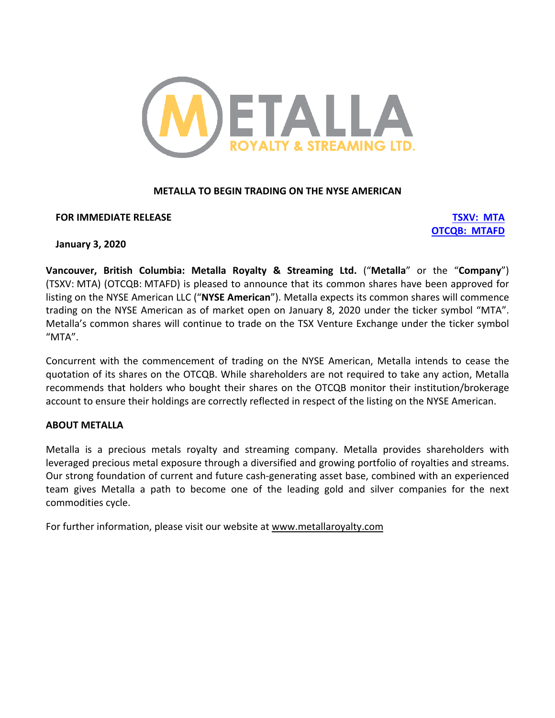

# **METALLA TO BEGIN TRADING ON THE NYSE AMERICAN**

## **FOR IMMEDIATE RELEASE TSXV: MTA**

**OTCQB: MTAFD**

## **January 3, 2020**

**Vancouver, British Columbia: Metalla Royalty & Streaming Ltd.** ("**Metalla**" or the "**Company**") (TSXV: MTA) (OTCQB: MTAFD) is pleased to announce that its common shares have been approved for listing on the NYSE American LLC ("**NYSE American**"). Metalla expects its common shares will commence trading on the NYSE American as of market open on January 8, 2020 under the ticker symbol "MTA". Metalla's common shares will continue to trade on the TSX Venture Exchange under the ticker symbol "MTA".

Concurrent with the commencement of trading on the NYSE American, Metalla intends to cease the quotation of its shares on the OTCQB. While shareholders are not required to take any action, Metalla recommends that holders who bought their shares on the OTCQB monitor their institution/brokerage account to ensure their holdings are correctly reflected in respect of the listing on the NYSE American.

## **ABOUT METALLA**

Metalla is a precious metals royalty and streaming company. Metalla provides shareholders with leveraged precious metal exposure through a diversified and growing portfolio of royalties and streams. Our strong foundation of current and future cash-generating asset base, combined with an experienced team gives Metalla a path to become one of the leading gold and silver companies for the next commodities cycle.

For further information, please visit our website at www.metallaroyalty.com